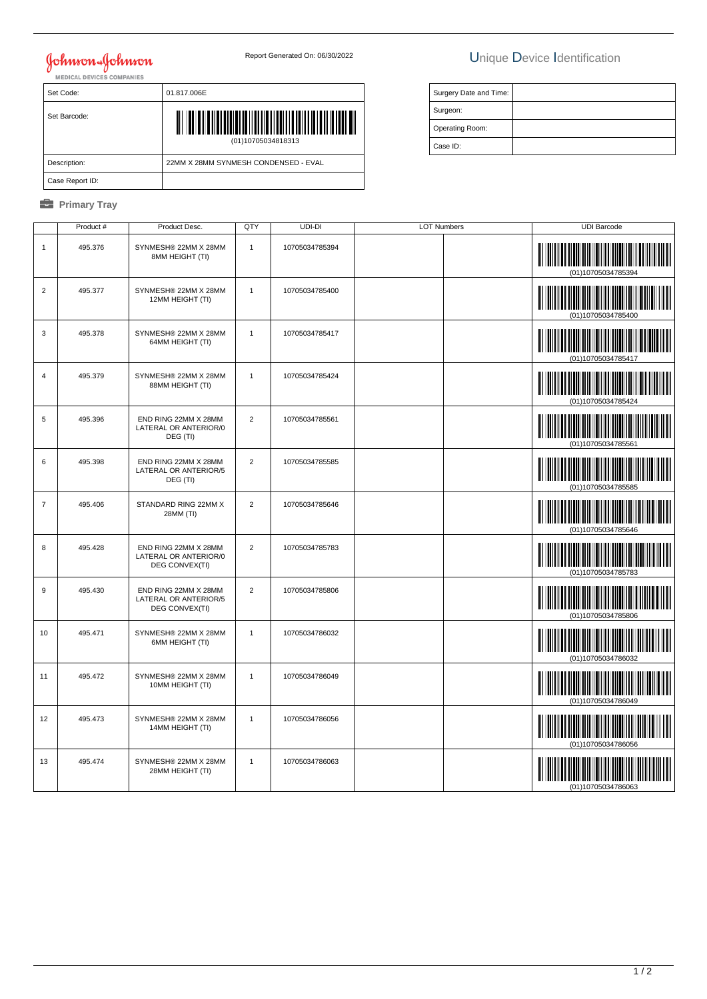# **Johnson & Johnson**

## Report Generated On: 06/30/2022 Unique Device Identification

| Set Code:       | 01.817.006E                          |
|-----------------|--------------------------------------|
| Set Barcode:    | (01)10705034818313                   |
| Description:    | 22MM X 28MM SYNMESH CONDENSED - EVAL |
| Case Report ID: |                                      |

### *<u><b>* Primary Tray</u>

| Surgery Date and Time: |  |
|------------------------|--|
| Surgeon:               |  |
| Operating Room:        |  |
| Case ID:               |  |

|                | Product # | Product Desc.                                                   | QTY            | UDI-DI         | <b>LOT Numbers</b> | <b>UDI Barcode</b>                                |
|----------------|-----------|-----------------------------------------------------------------|----------------|----------------|--------------------|---------------------------------------------------|
| $\mathbf{1}$   | 495.376   | SYNMESH® 22MM X 28MM<br>8MM HEIGHT (TI)                         | $\mathbf{1}$   | 10705034785394 |                    | (01)10705034785394                                |
| $\overline{2}$ | 495.377   | SYNMESH® 22MM X 28MM<br>12MM HEIGHT (TI)                        | $\mathbf{1}$   | 10705034785400 |                    | 01)10705034785400                                 |
| 3              | 495.378   | SYNMESH® 22MM X 28MM<br>64MM HEIGHT (TI)                        | $\overline{1}$ | 10705034785417 |                    | (01)10705034785417                                |
| $\overline{4}$ | 495.379   | SYNMESH® 22MM X 28MM<br>88MM HEIGHT (TI)                        | $\mathbf{1}$   | 10705034785424 |                    | (01)10705034785424                                |
| 5              | 495.396   | END RING 22MM X 28MM<br>LATERAL OR ANTERIOR/0<br>DEG (TI)       | $\overline{2}$ | 10705034785561 |                    | (01)10705034785561                                |
| 6              | 495.398   | END RING 22MM X 28MM<br>LATERAL OR ANTERIOR/5<br>DEG (TI)       | $\overline{2}$ | 10705034785585 |                    | (01)10705034785585                                |
| $\overline{7}$ | 495.406   | STANDARD RING 22MM X<br>28MM (TI)                               | $\overline{2}$ | 10705034785646 |                    | (01)10705034785646                                |
| 8              | 495.428   | END RING 22MM X 28MM<br>LATERAL OR ANTERIOR/0<br>DEG CONVEX(TI) | $\overline{2}$ | 10705034785783 |                    | (01)10705034785783                                |
| 9              | 495.430   | END RING 22MM X 28MM<br>LATERAL OR ANTERIOR/5<br>DEG CONVEX(TI) | $\sqrt{2}$     | 10705034785806 |                    | (01)10705034785806                                |
| 10             | 495.471   | SYNMESH® 22MM X 28MM<br>6MM HEIGHT (TI)                         | $\overline{1}$ | 10705034786032 |                    | <u> III Martin Martin M</u><br>(01)10705034786032 |
| 11             | 495.472   | SYNMESH® 22MM X 28MM<br>10MM HEIGHT (TI)                        | $\mathbf{1}$   | 10705034786049 |                    | <u> III martin ma'lumot</u><br>(01)10705034786049 |
| 12             | 495.473   | SYNMESH® 22MM X 28MM<br>14MM HEIGHT (TI)                        | $\overline{1}$ | 10705034786056 |                    | (01)10705034786056                                |
| 13             | 495.474   | SYNMESH® 22MM X 28MM<br>28MM HEIGHT (TI)                        | $\mathbf{1}$   | 10705034786063 |                    | (01)10705034786063                                |